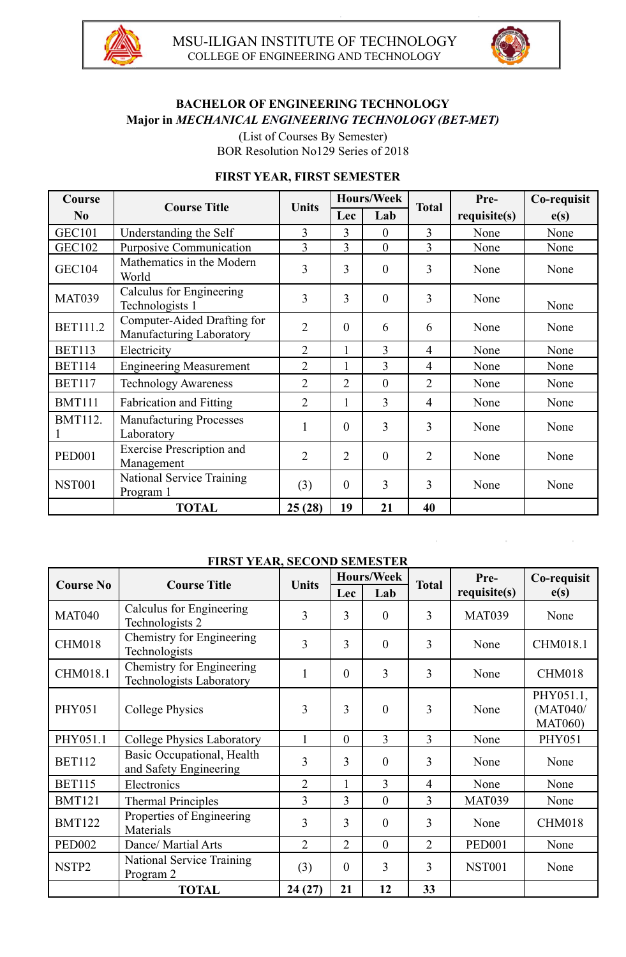



# **BACHELOR OF ENGINEERING TECHNOLOGY Major in** *MECHANICAL ENGINEERING TECHNOLOGY (BET-MET)*

(List of Courses By Semester) BOR Resolution No129 Series of 2018

#### **FIRST YEAR, FIRST SEMESTER**

| <b>Course</b>   | <b>Course Title</b>                                     | <b>Units</b>   |                | <b>Hours/Week</b> | <b>Total</b>   | Pre-         | Co-requisit |
|-----------------|---------------------------------------------------------|----------------|----------------|-------------------|----------------|--------------|-------------|
| No              |                                                         |                | Lec            | Lab               |                | requisite(s) | e(s)        |
| <b>GEC101</b>   | Understanding the Self                                  | 3              | 3              | $\theta$          | 3              | None         | None        |
| <b>GEC102</b>   | <b>Purposive Communication</b>                          | 3              | 3              | $\theta$          | 3              | None         | None        |
| <b>GEC104</b>   | Mathematics in the Modern<br>World                      | 3              | $\overline{3}$ | $\theta$          | 3              | None         | None        |
| <b>MAT039</b>   | Calculus for Engineering<br>Technologists 1             | 3              | 3              | $\theta$          | 3              | None         | None        |
| <b>BET111.2</b> | Computer-Aided Drafting for<br>Manufacturing Laboratory | $\overline{2}$ | $\overline{0}$ | 6                 | 6              | None         | None        |
| <b>BET113</b>   | Electricity                                             | $\overline{2}$ | 1              | $\overline{3}$    | $\overline{4}$ | None         | None        |
| <b>BET114</b>   | <b>Engineering Measurement</b>                          | $\overline{2}$ | 1              | 3                 | 4              | None         | None        |
| <b>BET117</b>   | <b>Technology Awareness</b>                             | $\overline{2}$ | $\overline{2}$ | $\theta$          | $\overline{2}$ | None         | None        |
| <b>BMT111</b>   | Fabrication and Fitting                                 | $\overline{2}$ | $\mathbf{1}$   | 3                 | $\overline{4}$ | None         | None        |
| <b>BMT112.</b>  | <b>Manufacturing Processes</b><br>Laboratory            | $\mathbf{1}$   | $\theta$       | 3                 | 3              | None         | None        |
| <b>PED001</b>   | <b>Exercise Prescription and</b><br>Management          | $\overline{2}$ | $\overline{2}$ | $\theta$          | $\overline{2}$ | None         | None        |
| <b>NST001</b>   | National Service Training<br>Program 1                  | (3)            | $\overline{0}$ | 3                 | 3              | None         | None        |
|                 | <b>TOTAL</b>                                            | 25(28)         | 19             | 21                | 40             |              |             |

#### **FIRST YEAR, SECOND SEMESTER**

| <b>Course No</b>  | <b>Course Title</b>                                          | <b>Units</b>   | <b>Hours/Week</b> |                | <b>Total</b>   | Pre-          | Co-requisit                             |
|-------------------|--------------------------------------------------------------|----------------|-------------------|----------------|----------------|---------------|-----------------------------------------|
|                   |                                                              |                | <b>Lec</b>        | Lab            |                | requires(s)   | e(s)                                    |
| <b>MAT040</b>     | Calculus for Engineering<br>Technologists 2                  | $\overline{3}$ | 3                 | $\overline{0}$ | 3              | <b>MAT039</b> | None                                    |
| <b>CHM018</b>     | Chemistry for Engineering<br>Technologists                   | $\overline{3}$ | 3                 | $\theta$       | 3              | None          | CHM018.1                                |
| CHM018.1          | Chemistry for Engineering<br><b>Technologists Laboratory</b> | $\mathbf{1}$   | $\theta$          | 3              | 3              | None          | CHM018                                  |
| <b>PHY051</b>     | <b>College Physics</b>                                       | 3              | 3                 | $\overline{0}$ | 3              | None          | PHY051.1,<br>(MAT040/<br><b>MAT060)</b> |
| PHY051.1          | <b>College Physics Laboratory</b>                            | $\mathbf{1}$   | $\theta$          | 3              | 3              | None          | <b>PHY051</b>                           |
| <b>BET112</b>     | Basic Occupational, Health<br>and Safety Engineering         | 3              | 3                 | $\overline{0}$ | 3              | None          | None                                    |
| <b>BET115</b>     | Electronics                                                  | $\overline{2}$ | $\mathbf{1}$      | 3              | $\overline{4}$ | None          | None                                    |
| <b>BMT121</b>     | <b>Thermal Principles</b>                                    | 3              | 3                 | $\theta$       | 3              | <b>MAT039</b> | None                                    |
| <b>BMT122</b>     | Properties of Engineering<br>Materials                       | 3              | 3                 | $\theta$       | 3              | None          | CHM018                                  |
| <b>PED002</b>     | Dance/ Martial Arts                                          | $\overline{2}$ | $\overline{2}$    | $\overline{0}$ | $\overline{2}$ | <b>PED001</b> | None                                    |
| NSTP <sub>2</sub> | <b>National Service Training</b><br>Program 2                | (3)            | $\theta$          | 3              | 3              | <b>NST001</b> | None                                    |
|                   | <b>TOTAL</b>                                                 | 24(27)         | 21                | 12             | 33             |               |                                         |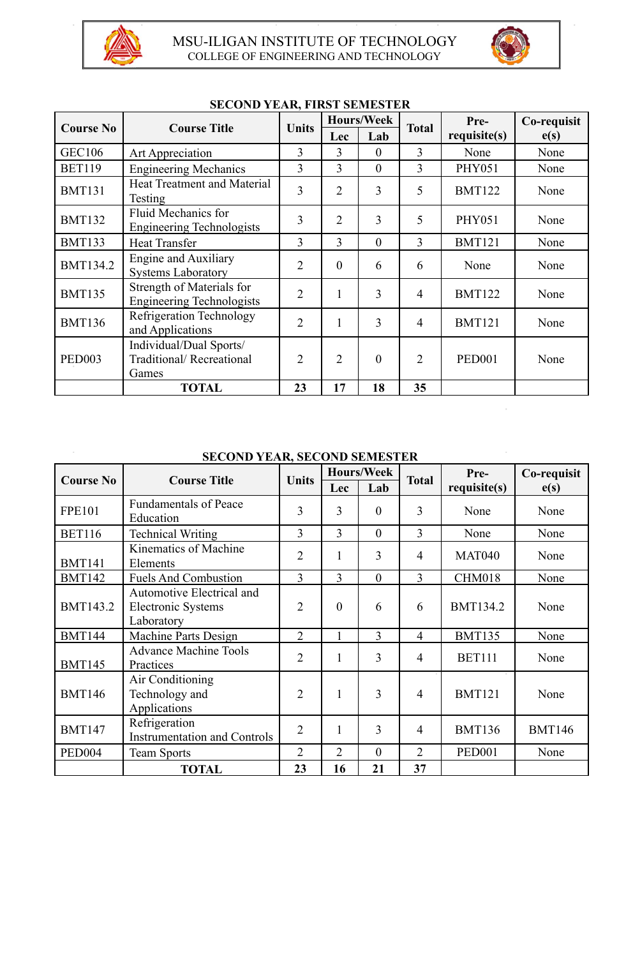

 $\overline{\phantom{a}}$ 



| <b>Course No</b> | <b>Course Title</b>                                            | <b>Units</b>   | <b>Hours/Week</b> |          | <b>Total</b>   | Pre-          | Co-requisit |
|------------------|----------------------------------------------------------------|----------------|-------------------|----------|----------------|---------------|-------------|
|                  |                                                                |                | <b>Lec</b>        | Lab      |                | requisite(s)  | e(s)        |
| <b>GEC106</b>    | Art Appreciation                                               | 3              | 3                 | $\theta$ | 3              | None          | None        |
| <b>BET119</b>    | <b>Engineering Mechanics</b>                                   | 3              | 3                 | $\theta$ | $\overline{3}$ | <b>PHY051</b> | None        |
| <b>BMT131</b>    | <b>Heat Treatment and Material</b><br>Testing                  | 3              | $\overline{2}$    | 3        | 5              | <b>BMT122</b> | None        |
| <b>BMT132</b>    | <b>Fluid Mechanics for</b><br><b>Engineering Technologists</b> | 3              | $\overline{2}$    | 3        | 5              | <b>PHY051</b> | None        |
| <b>BMT133</b>    | <b>Heat Transfer</b>                                           | 3              | 3                 | $\theta$ | 3              | <b>BMT121</b> | None        |
| <b>BMT134.2</b>  | <b>Engine and Auxiliary</b><br><b>Systems Laboratory</b>       | $\overline{2}$ | $\theta$          | 6        | 6              | None          | None        |
| <b>BMT135</b>    | Strength of Materials for<br><b>Engineering Technologists</b>  | $\overline{2}$ |                   | 3        | 4              | <b>BMT122</b> | None        |
| <b>BMT136</b>    | Refrigeration Technology<br>and Applications                   | $\overline{2}$ |                   | 3        | 4              | <b>BMT121</b> | None        |
| <b>PED003</b>    | Individual/Dual Sports/<br>Traditional/Recreational<br>Games   | $\overline{2}$ | $\overline{2}$    | $\theta$ | $\overline{2}$ | <b>PED001</b> | None        |
|                  | <b>TOTAL</b>                                                   | 23             | 17                | 18       | 35             |               |             |

## **SECOND YEAR, FIRST SEMESTER**

### **SECOND YEAR, SECOND SEMESTER**

| <b>Course No</b>   | <b>Course Title</b>                                                  | <b>Units</b>   | <b>Hours/Week</b> |                | <b>Total</b>   | Pre-            | Co-requisit   |
|--------------------|----------------------------------------------------------------------|----------------|-------------------|----------------|----------------|-----------------|---------------|
|                    |                                                                      |                | Lec               | Lab            |                | requires(s)     | e(s)          |
| <b>FPE101</b>      | <b>Fundamentals of Peace</b><br>Education                            | 3              | 3                 | $\theta$       | 3              | None            | None          |
| <b>BET116</b>      | <b>Technical Writing</b>                                             | 3              | 3                 | $\theta$       | 3              | None            | None          |
| <b>BMT141</b>      | Kinematics of Machine<br>Elements                                    | $\overline{2}$ | $\mathbf{1}$      | 3              | $\overline{4}$ | <b>MAT040</b>   | None          |
| <b>BMT142</b>      | <b>Fuels And Combustion</b>                                          | 3              | 3                 | $\overline{0}$ | 3              | CHM018          | None          |
| <b>BMT143.2</b>    | Automotive Electrical and<br><b>Electronic Systems</b><br>Laboratory | $\overline{2}$ | $\overline{0}$    | 6              | 6              | <b>BMT134.2</b> | None          |
| <b>BMT144</b>      | Machine Parts Design                                                 | $\overline{2}$ | $\mathbf{1}$      | 3              | $\overline{4}$ | <b>BMT135</b>   | None          |
| <b>BMT145</b>      | <b>Advance Machine Tools</b><br>Practices                            | $\overline{2}$ | 1                 | 3              | 4              | <b>BET111</b>   | None          |
| <b>BMT146</b>      | Air Conditioning<br>Technology and<br>Applications                   | $\overline{2}$ | $\mathbf{1}$      | 3              | $\overline{4}$ | <b>BMT121</b>   | None          |
| <b>BMT147</b>      | Refrigeration<br><b>Instrumentation and Controls</b>                 | $\overline{2}$ | $\mathbf{1}$      | 3              | $\overline{4}$ | <b>BMT136</b>   | <b>BMT146</b> |
| PED <sub>004</sub> | <b>Team Sports</b>                                                   | $\overline{2}$ | $\overline{2}$    | $\theta$       | $\overline{2}$ | <b>PED001</b>   | None          |
|                    | <b>TOTAL</b>                                                         | 23             | 16                | 21             | 37             |                 |               |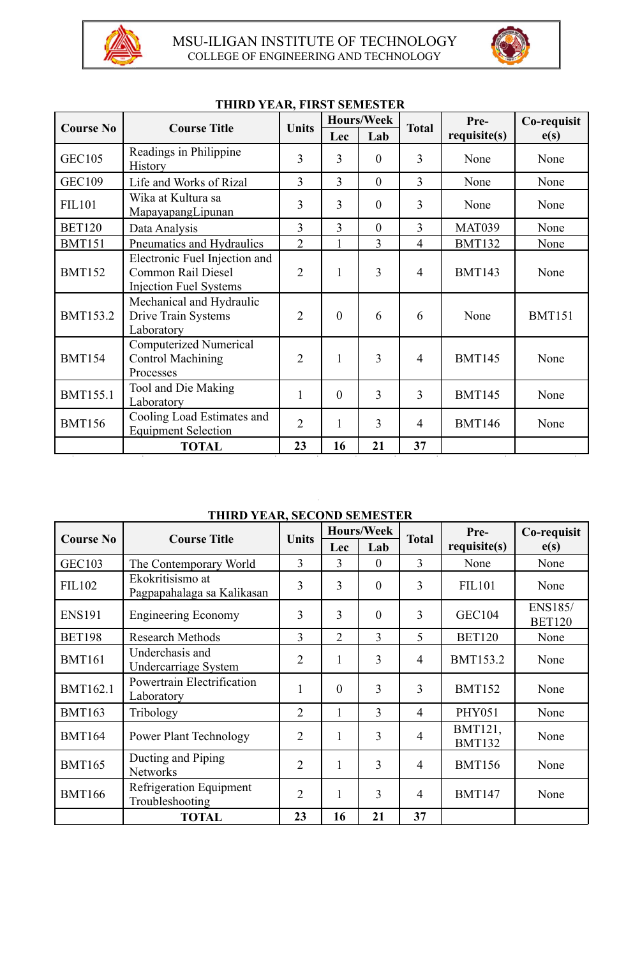



| <b>Course No</b> | <b>Course Title</b>                                                                  | <b>Units</b>   | <b>Hours/Week</b> |                | <b>Total</b>   | Pre-          | Co-requisit   |
|------------------|--------------------------------------------------------------------------------------|----------------|-------------------|----------------|----------------|---------------|---------------|
|                  |                                                                                      |                | Lec               | Lab            |                | requisite(s)  | e(s)          |
| <b>GEC105</b>    | Readings in Philippine<br><b>History</b>                                             | $\overline{3}$ | 3                 | $\theta$       | 3              | None          | None          |
| <b>GEC109</b>    | Life and Works of Rizal                                                              | 3              | 3                 | $\overline{0}$ | 3              | None          | None          |
| <b>FIL101</b>    | Wika at Kultura sa<br>MapayapangLipunan                                              | 3              | 3                 | $\overline{0}$ | 3              | None          | None          |
| <b>BET120</b>    | Data Analysis                                                                        | 3              | 3                 | $\overline{0}$ | 3              | <b>MAT039</b> | None          |
| <b>BMT151</b>    | Pneumatics and Hydraulics                                                            | $\overline{2}$ | 1                 | 3              | $\overline{4}$ | <b>BMT132</b> | None          |
| <b>BMT152</b>    | Electronic Fuel Injection and<br>Common Rail Diesel<br><b>Injection Fuel Systems</b> | $\overline{2}$ | $\mathbf{1}$      | 3              | $\overline{4}$ | <b>BMT143</b> | None          |
| <b>BMT153.2</b>  | Mechanical and Hydraulic<br>Drive Train Systems<br>Laboratory                        | $\overline{2}$ | $\theta$          | 6              | 6              | None          | <b>BMT151</b> |
| <b>BMT154</b>    | <b>Computerized Numerical</b><br><b>Control Machining</b><br>Processes               | $\overline{2}$ | $\mathbf{1}$      | 3              | $\overline{4}$ | <b>BMT145</b> | None          |
| <b>BMT155.1</b>  | Tool and Die Making<br>Laboratory                                                    | $\mathbf{1}$   | $\theta$          | 3              | 3              | <b>BMT145</b> | None          |
| <b>BMT156</b>    | Cooling Load Estimates and<br><b>Equipment Selection</b>                             | $\overline{2}$ | $\mathbf{1}$      | 3              | $\overline{4}$ | <b>BMT146</b> | None          |
|                  | <b>TOTAL</b>                                                                         | 23             | 16                | 21             | 37             |               |               |

### **THIRD YEAR, FIRST SEMESTER**

**THIRD YEAR, SECOND SEMESTER**

| <b>Course No</b> | <b>Course Title</b>                            | <b>Units</b>   | <b>Hours/Week</b> |                | <b>Total</b>   | Pre-                     | Co-requisit                     |
|------------------|------------------------------------------------|----------------|-------------------|----------------|----------------|--------------------------|---------------------------------|
|                  |                                                |                | <b>Lec</b>        | Lab            |                | requires(s)              | e(s)                            |
| <b>GEC103</b>    | The Contemporary World                         | 3              | 3                 | $\overline{0}$ | 3              | None                     | None                            |
| <b>FIL102</b>    | Ekokritisismo at<br>Pagpapahalaga sa Kalikasan | 3              | 3                 | $\overline{0}$ | 3              | <b>FIL101</b>            | None                            |
| <b>ENS191</b>    | <b>Engineering Economy</b>                     | 3              | 3                 | $\overline{0}$ | 3              | <b>GEC104</b>            | <b>ENS185/</b><br><b>BET120</b> |
| <b>BET198</b>    | <b>Research Methods</b>                        | 3              | $\overline{2}$    | 3              | 5              | <b>BET120</b>            | None                            |
| <b>BMT161</b>    | Underchasis and<br>Undercarriage System        | $\overline{2}$ | 1                 | $\overline{3}$ | $\overline{4}$ | <b>BMT153.2</b>          | None                            |
| <b>BMT162.1</b>  | Powertrain Electrification<br>Laboratory       | 1              | $\theta$          | 3              | 3              | <b>BMT152</b>            | None                            |
| <b>BMT163</b>    | Tribology                                      | $\overline{2}$ | 1                 | 3              | $\overline{4}$ | <b>PHY051</b>            | None                            |
| <b>BMT164</b>    | <b>Power Plant Technology</b>                  | $\overline{2}$ | 1                 | 3              | $\overline{4}$ | BMT121,<br><b>BMT132</b> | None                            |
| <b>BMT165</b>    | Ducting and Piping<br><b>Networks</b>          | $\overline{2}$ | 1                 | 3              | $\overline{4}$ | <b>BMT156</b>            | None                            |
| <b>BMT166</b>    | Refrigeration Equipment<br>Troubleshooting     | $\overline{2}$ | 1                 | 3              | $\overline{4}$ | <b>BMT147</b>            | None                            |
|                  | <b>TOTAL</b>                                   | 23             | 16                | 21             | 37             |                          |                                 |